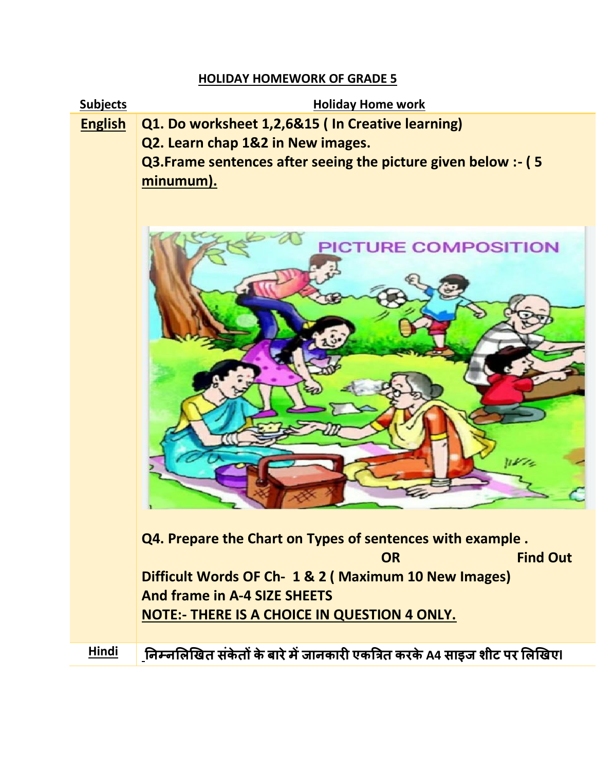## **HOLIDAY HOMEWORK OF GRADE 5**

**Subjects Holiday Home work** 

**English Q1. Do worksheet 1,2,6&15 ( In Creative learning)** 

**Q2. Learn chap 1&2 in New images. Q3.Frame sentences after seeing the picture given below :- ( 5 minumum).** 



**Q4. Prepare the Chart on Types of sentences with example . OR Find Out Contract of the Contract OR Contract of the Contract Out Contract Out Difficult Words OF Ch- 1 & 2 ( Maximum 10 New Images) And frame in A-4 SIZE SHEETS NOTE:- THERE IS A CHOICE IN QUESTION 4 ONLY.**

**Hindi निम्िलिखित संके तों केबारेमेंजािकारी एकत्रित करकेA4 साइज शीट पर लिखिएl**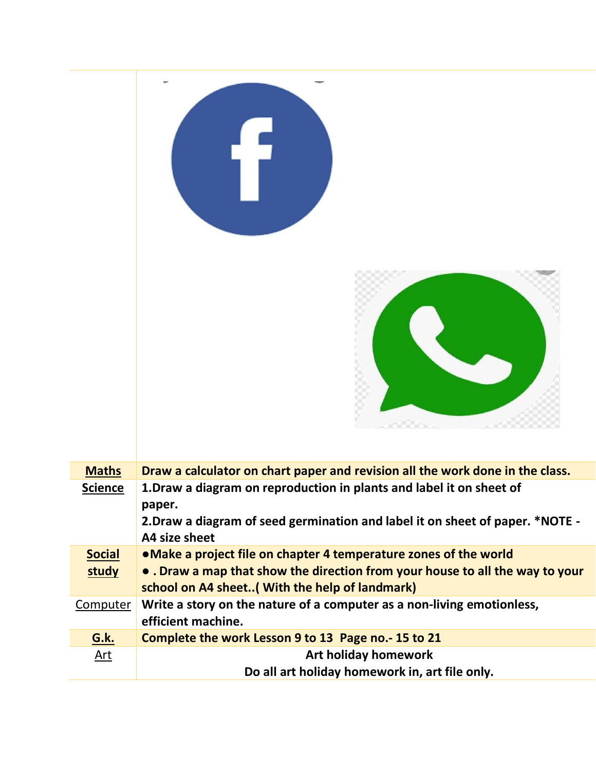



| <b>Maths</b>   | Draw a calculator on chart paper and revision all the work done in the class. |
|----------------|-------------------------------------------------------------------------------|
| <b>Science</b> | 1. Draw a diagram on reproduction in plants and label it on sheet of          |
|                | paper.                                                                        |
|                | 2. Draw a diagram of seed germination and label it on sheet of paper. *NOTE - |
|                | A4 size sheet                                                                 |
| <b>Social</b>  | • Make a project file on chapter 4 temperature zones of the world             |
| study          | • . Draw a map that show the direction from your house to all the way to your |
|                | school on A4 sheet( With the help of landmark)                                |
| Computer       | Write a story on the nature of a computer as a non-living emotionless,        |
|                | efficient machine.                                                            |
| <b>G.k.</b>    | Complete the work Lesson 9 to 13 Page no.-15 to 21                            |
| Art            | <b>Art holiday homework</b>                                                   |
|                | Do all art holiday homework in, art file only.                                |